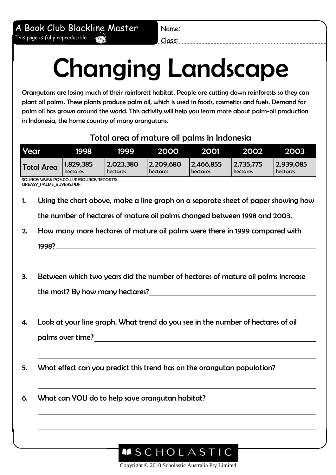Name: Class:

## Changing Landscape

Orangutans are losing much of their rainforest habitat. People are cutting down rainforests so they can plant oil palms. These plants produce palm oil, which is used in foods, cosmetics and fuels. Demand for palm oil has grown around the world. This activity will help you learn more about palm-oil production in Indonesia, the home country of many orangutans.

## Total area of mature oil palms in Indonesia

| Year              | 1998      | 1999       | 2000      | 2001      | 2002       | 2003            |
|-------------------|-----------|------------|-----------|-----------|------------|-----------------|
| <b>Total Area</b> | 1,829,385 | 12,023,380 | 2,209,680 | 2,466,855 | 12,735,775 | 2,939,085       |
|                   | hectares  | hectares   | hectares  | hectares  | hectares   | <b>hectares</b> |

SOURCE: WWW.POE.CO.U./RESOURCE/REPORTS/ GREASY\_PALMS\_BUYERS.PDF

1. Using the chart above, make a line graph on a separate sheet of paper showing how

the number of hectares of mature oil palms changed between 1998 and 2003.

2. How many more hectares of mature oil palms were there in 1999 compared with

1998?

- 3. Between which two years did the number of hectares of mature oil palms increase the most? By how many hectares?
- 4. Look at your line graph. What trend do you see in the number of hectares of oil palms over time?
- 5. What effect can you predict this trend has on the orangutan population?
- 6. What can YOU do to help save orangutan habitat?



Copyright © 2010 Scholastic Australia Pty Limited